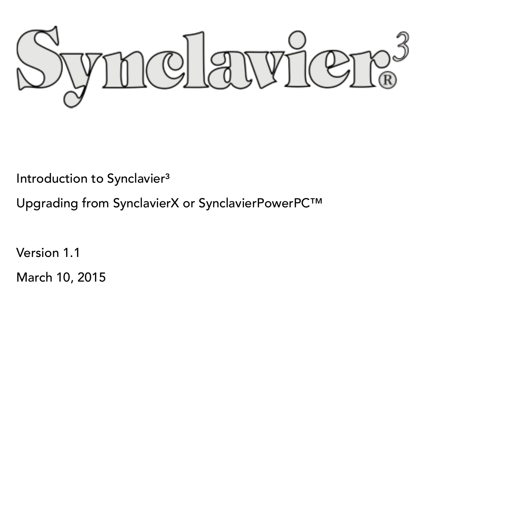yie  $\mathbb{R}$  $\mathbb{Q}_\mathbb{L}$ 

Introduction to Synclavier<sup>3</sup>

Upgrading from SynclavierX or SynclavierPowerPC™

Version 1.1

March 10, 2015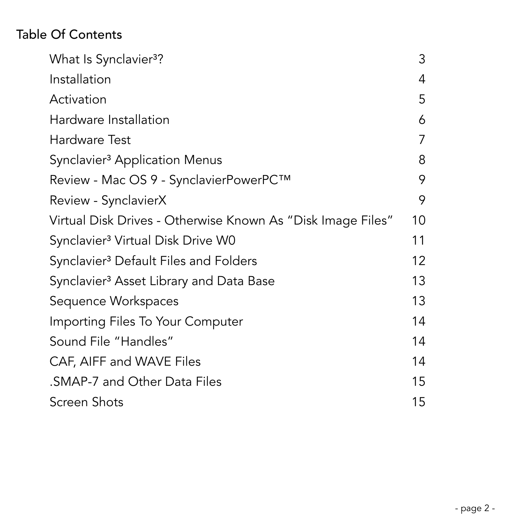# Table Of Contents

| What Is Synclavier <sup>3</sup> ?                           | 3  |
|-------------------------------------------------------------|----|
| Installation                                                | 4  |
| Activation                                                  | 5  |
| Hardware Installation                                       | 6  |
| Hardware Test                                               | 7  |
| Synclavier <sup>3</sup> Application Menus                   | 8  |
| Review - Mac OS 9 - SynclavierPowerPC™                      | 9  |
| Review - SynclavierX                                        | 9  |
| Virtual Disk Drives - Otherwise Known As "Disk Image Files" | 10 |
| Synclavier <sup>3</sup> Virtual Disk Drive W0               | 11 |
| Synclavier <sup>3</sup> Default Files and Folders           | 12 |
| Synclavier <sup>3</sup> Asset Library and Data Base         | 13 |
| Sequence Workspaces                                         | 13 |
| Importing Files To Your Computer                            | 14 |
| Sound File "Handles"                                        | 14 |
| CAF, AIFF and WAVE Files                                    | 14 |
| .SMAP-7 and Other Data Files                                | 15 |
| <b>Screen Shots</b>                                         | 15 |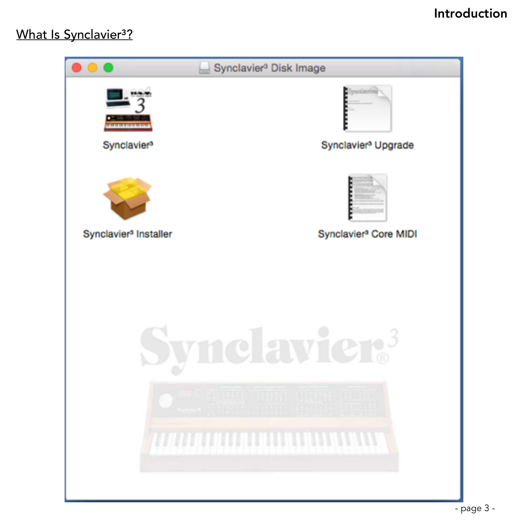## Introduction

## What Is Synclavier<sup>3</sup>?

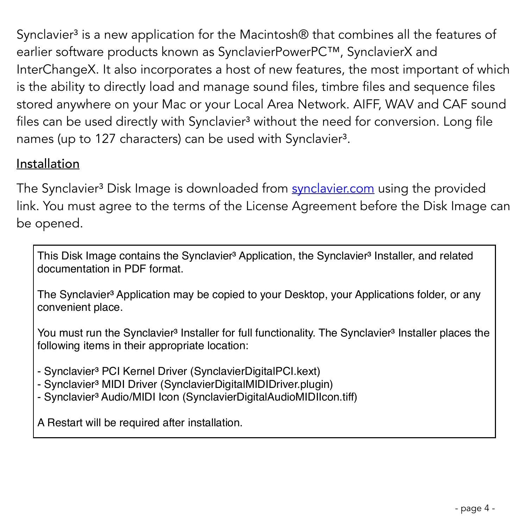Synclavier<sup>3</sup> is a new application for the Macintosh<sup>®</sup> that combines all the features of earlier software products known as SynclavierPowerPC™, SynclavierX and InterChangeX. It also incorporates a host of new features, the most important of which is the ability to directly load and manage sound files, timbre files and sequence files stored anywhere on your Mac or your Local Area Network. AIFF, WAV and CAF sound files can be used directly with Synclavier<sup>3</sup> without the need for conversion. Long file names (up to 127 characters) can be used with Synclavier<sup>3</sup>.

## Installation

The Synclavier<sup>3</sup> Disk Image is downloaded from **synclavier.com** using the provided link. You must agree to the terms of the License Agreement before the Disk Image can be opened.

This Disk Image contains the Synclavier<sup>3</sup> Application, the Synclavier<sup>3</sup> Installer, and related documentation in PDF format.

The Synclavier<sup>3</sup> Application may be copied to your Desktop, your Applications folder, or any convenient place.

You must run the Synclavier<sup>3</sup> Installer for full functionality. The Synclavier<sup>3</sup> Installer places the following items in their appropriate location:

- Synclavier<sup>3</sup> PCI Kernel Driver (SynclavierDigitalPCI.kext)

- Synclavier<sup>3</sup> MIDI Driver (SynclavierDigitalMIDIDriver.plugin)
- Synclavier<sup>3</sup> Audio/MIDI Icon (SynclavierDigitalAudioMIDIIcon.tiff)

A Restart will be required after installation.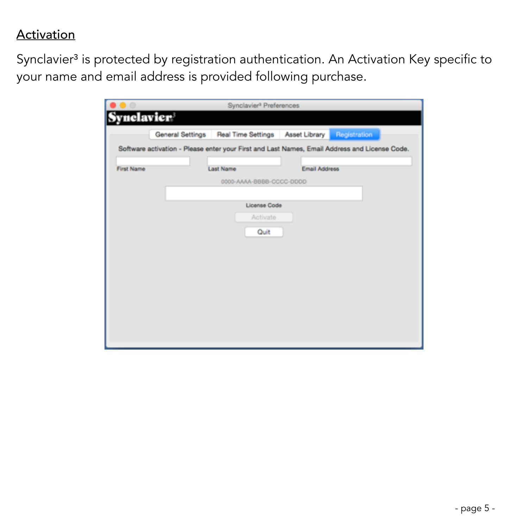## **Activation**

Synclavier<sup>3</sup> is protected by registration authentication. An Activation Key specific to your name and email address is provided following purchase.

|                   |                          | General Settings   Real Time Settings   Asset Library | Registration                                                                                  |
|-------------------|--------------------------|-------------------------------------------------------|-----------------------------------------------------------------------------------------------|
|                   |                          |                                                       | Software activation - Please enter your First and Last Names, Email Address and License Code. |
| <b>First Name</b> | <b>Last Name</b>         | <b>Email Address</b>                                  |                                                                                               |
|                   | 0000-AAAA-BBBB-CCCC-DDDD |                                                       |                                                                                               |
|                   |                          |                                                       |                                                                                               |
|                   | License Code             |                                                       |                                                                                               |
|                   | Activate                 |                                                       |                                                                                               |
|                   | Quit                     |                                                       |                                                                                               |
|                   |                          |                                                       |                                                                                               |
|                   |                          |                                                       |                                                                                               |
|                   |                          |                                                       |                                                                                               |
|                   |                          |                                                       |                                                                                               |
|                   |                          |                                                       |                                                                                               |
|                   |                          |                                                       |                                                                                               |
|                   |                          |                                                       |                                                                                               |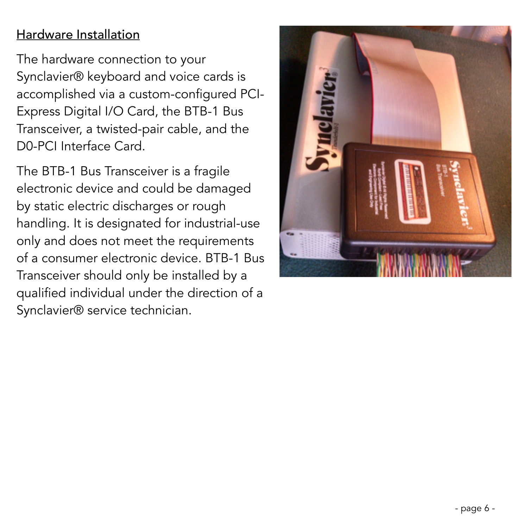## Hardware Installation

The hardware connection to your Synclavier® keyboard and voice cards is accomplished via a custom-configured PCI-Express Digital I/O Card, the BTB-1 Bus Transceiver, a twisted-pair cable, and the D0-PCI Interface Card.

The BTB-1 Bus Transceiver is a fragile electronic device and could be damaged by static electric discharges or rough handling. It is designated for industrial-use only and does not meet the requirements of a consumer electronic device. BTB-1 Bus Transceiver should only be installed by a qualified individual under the direction of a Synclavier® service technician.

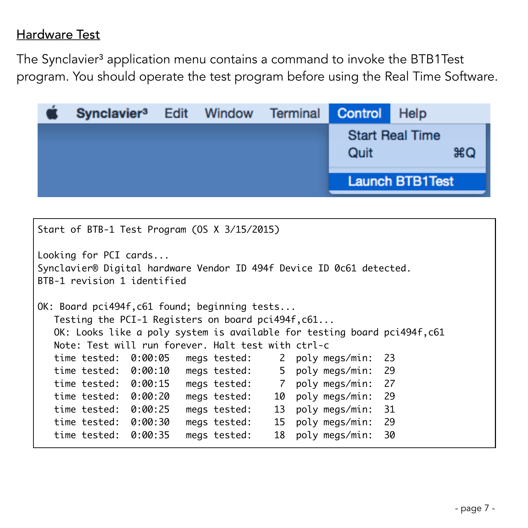### Hardware Test

The Synclavier<sup>3</sup> application menu contains a command to invoke the BTB1Test program. You should operate the test program before using the Real Time Software.

| Synclavier <sup>3</sup> Edit Window |  | Terminal | Control | Help                         |
|-------------------------------------|--|----------|---------|------------------------------|
|                                     |  |          | Quit    | <b>Start Real Time</b><br>ЖQ |
|                                     |  |          |         | <b>Launch BTB1Test</b>       |

```
Start of BTB-1 Test Program (OS X 3/15/2015)
Looking for PCI cards...
Synclavier® Digital hardware Vendor ID 494f Device ID 0c61 detected.
BTB-1 revision 1 identified
OK: Board pci494f,c61 found; beginning tests...
  Testing the PCI-1 Registers on board pci494f, c61...
   OK: Looks like a poly system is available for testing board pci494f,c61
   Note: Test will run forever. Halt test with ctrl-c
   time tested: 0:00:05 megs tested: 2 poly megs/min: 23
   time tested: 0:00:10 megs tested: 5 poly megs/min: 29
   time tested: 0:00:15 megs tested: 7 poly megs/min: 27
   time tested: 0:00:20 megs tested: 10 poly megs/min: 29
   time tested: 0:00:25 megs tested: 13 poly megs/min: 31
   time tested: 0:00:30 megs tested: 15 poly megs/min: 29
   time tested: 0:00:35 megs tested: 18 poly megs/min: 30
```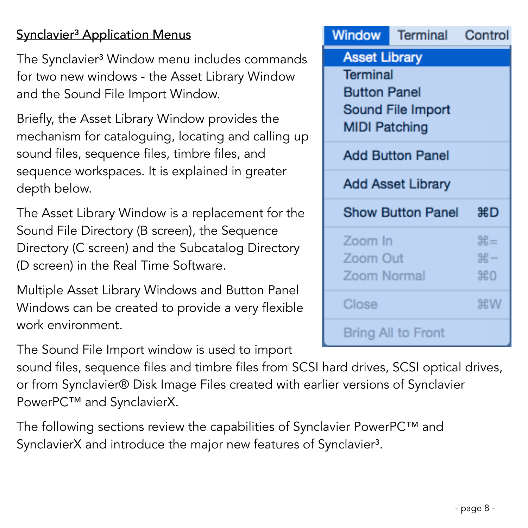# Synclavier<sup>3</sup> Application Menus

The Synclavier<sup>3</sup> Window menu includes commands for two new windows - the Asset Library Window and the Sound File Import Window.

Briefly, the Asset Library Window provides the mechanism for cataloguing, locating and calling up sound files, sequence files, timbre files, and sequence workspaces. It is explained in greater depth below.

The Asset Library Window is a replacement for the Sound File Directory (B screen), the Sequence Directory (C screen) and the Subcatalog Directory (D screen) in the Real Time Software.

Multiple Asset Library Windows and Button Panel Windows can be created to provide a very flexible work environment.

The Sound File Import window is used to import

sound files, sequence files and timbre files from SCSI hard drives, SCSI optical drives, or from Synclavier® Disk Image Files created with earlier versions of Synclavier PowerPC™ and SynclavierX.

The following sections review the capabilities of Synclavier PowerPC™ and SynclavierX and introduce the major new features of Synclavier<sup>3</sup>.

|                      | <b>Window</b> Terminal Control |                |  |
|----------------------|--------------------------------|----------------|--|
| <b>Asset Library</b> |                                |                |  |
| <b>Terminal</b>      |                                |                |  |
| <b>Button Panel</b>  |                                |                |  |
|                      | Sound File Import              |                |  |
| <b>MIDI Patching</b> |                                |                |  |
|                      | <b>Add Button Panel</b>        |                |  |
|                      | <b>Add Asset Library</b>       |                |  |
|                      | Show Button Panel 第D           |                |  |
| Zoom In              |                                | $\mathbb{H} =$ |  |
| Zoom Out             |                                | $# -$          |  |
| Zoom Normal          |                                | $*0$           |  |
| Close                |                                | <b>第W</b>      |  |
|                      | Bring All to Front             |                |  |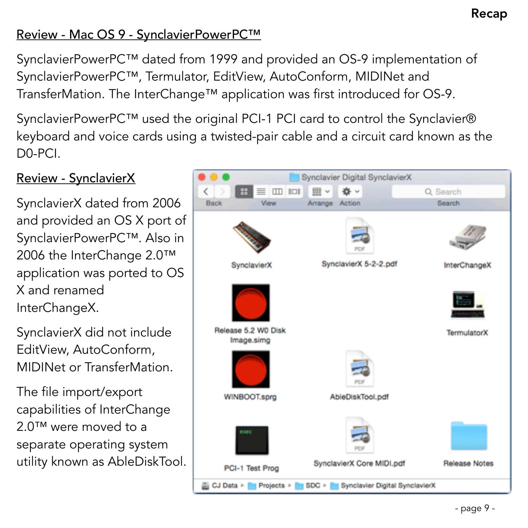## Review - Mac OS 9 - SynclavierPowerPC™

SynclavierPowerPC™ dated from 1999 and provided an OS-9 implementation of SynclavierPowerPC™, Termulator, EditView, AutoConform, MIDINet and TransferMation. The InterChange™ application was first introduced for OS-9.

SynclavierPowerPC™ used the original PCI-1 PCI card to control the Synclavier® keyboard and voice cards using a twisted-pair cable and a circuit card known as the D0-PCI.

# Review - SynclavierX SynclavierX dated from 2006 and provided an OS X port of SynclavierPowerPC™. Also in 2006 the InterChange 2.0™ application was ported to OS X and renamed InterChangeX.

SynclavierX did not include EditView, AutoConform, MIDINet or TransferMation.

The file import/export capabilities of InterChange 2.0<sup>™</sup> were moved to a separate operating system utility known as AbleDiskTool.

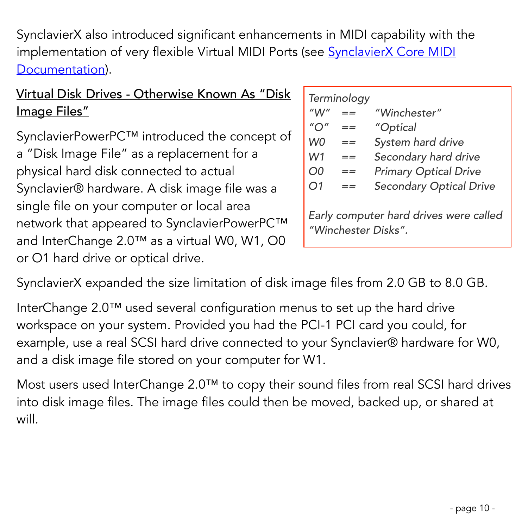SynclavierX also introduced significant enhancements in MIDI capability with the implementation of very flexible Virtual MIDI Ports (see **SynclavierX Core MIDI** Documentation).

# Virtual Disk Drives - Otherwise Known As "Disk Image Files"

SynclavierPowerPC™ introduced the concept of a "Disk Image File" as a replacement for a physical hard disk connected to actual Synclavier® hardware. A disk image file was a single file on your computer or local area network that appeared to SynclavierPowerPC™ and InterChange 2.0™ as a virtual W0, W1, O0 or O1 hard drive or optical drive.

|    | Terminology |                                |
|----|-------------|--------------------------------|
|    |             | "Winchester"                   |
|    |             | "Optical                       |
| W0 | $=$ $=$     | System hard drive              |
| W1 |             | Secondary hard drive           |
| O0 |             | <b>Primary Optical Drive</b>   |
| O1 |             | <b>Secondary Optical Drive</b> |
|    |             |                                |

*Early computer hard drives were called "Winchester Disks".*

SynclavierX expanded the size limitation of disk image files from 2.0 GB to 8.0 GB.

InterChange 2.0™ used several configuration menus to set up the hard drive workspace on your system. Provided you had the PCI-1 PCI card you could, for example, use a real SCSI hard drive connected to your Synclavier® hardware for W0, and a disk image file stored on your computer for W1.

Most users used InterChange 2.0™ to copy their sound files from real SCSI hard drives into disk image files. The image files could then be moved, backed up, or shared at will.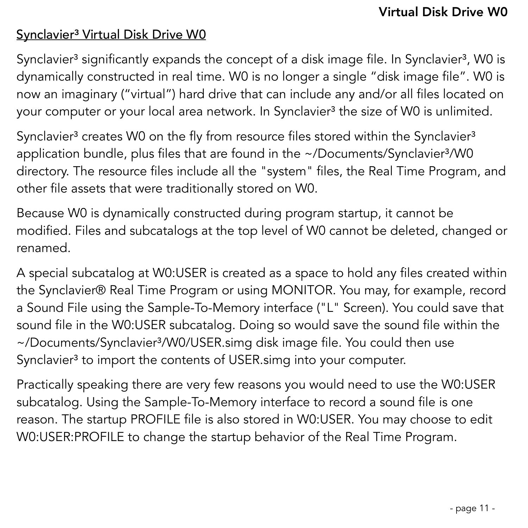## Synclavier<sup>3</sup> Virtual Disk Drive W0

Synclavier<sup>3</sup> significantly expands the concept of a disk image file. In Synclavier<sup>3</sup>, WO is dynamically constructed in real time. W0 is no longer a single "disk image file". W0 is now an imaginary ("virtual") hard drive that can include any and/or all files located on your computer or your local area network. In Synclavier<sup>3</sup> the size of W0 is unlimited.

Synclavier<sup>3</sup> creates W0 on the fly from resource files stored within the Synclavier<sup>3</sup> application bundle, plus files that are found in the  $\sim$ /Documents/Synclavier $\frac{3}{W0}$ directory. The resource files include all the "system" files, the Real Time Program, and other file assets that were traditionally stored on W0.

Because W0 is dynamically constructed during program startup, it cannot be modified. Files and subcatalogs at the top level of W0 cannot be deleted, changed or renamed.

A special subcatalog at W0:USER is created as a space to hold any files created within the Synclavier® Real Time Program or using MONITOR. You may, for example, record a Sound File using the Sample-To-Memory interface ("L" Screen). You could save that sound file in the W0:USER subcatalog. Doing so would save the sound file within the ~/Documents/Synclavier<sup>3</sup>/W0/USER.simg disk image file. You could then use Synclavier<sup>3</sup> to import the contents of USER.simg into your computer.

Practically speaking there are very few reasons you would need to use the W0:USER subcatalog. Using the Sample-To-Memory interface to record a sound file is one reason. The startup PROFILE file is also stored in W0:USER. You may choose to edit W0:USER:PROFILE to change the startup behavior of the Real Time Program.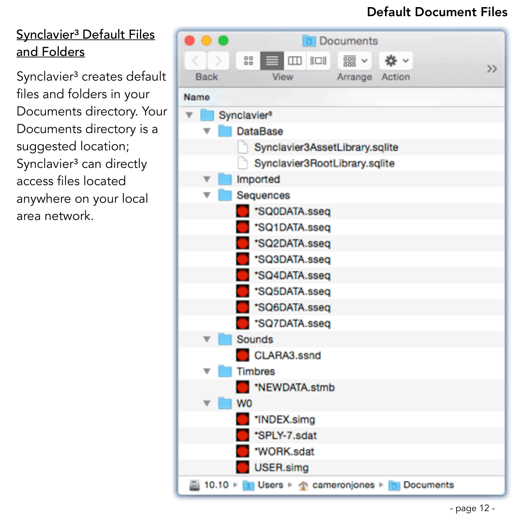## Default Document Files

# Synclavier<sup>3</sup> Default Files and Folders

Synclavier<sup>3</sup> creates default files and folders in your Documents directory. Your Documents directory is a suggested location; Synclavier<sup>3</sup> can directly access files located anywhere on your local area network.

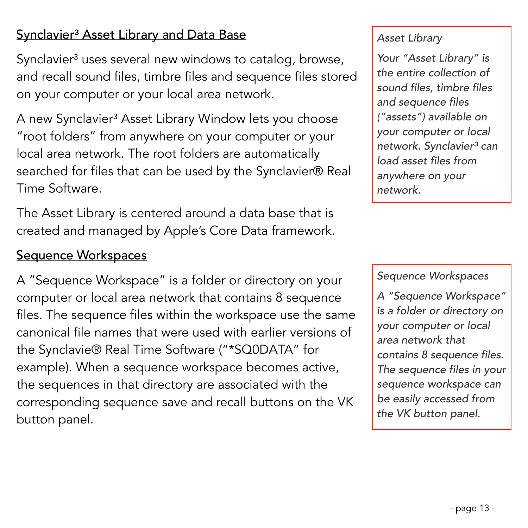## Synclavier<sup>3</sup> Asset Library and Data Base

Synclavier<sup>3</sup> uses several new windows to catalog, browse, and recall sound files, timbre files and sequence files stored on your computer or your local area network.

A new Synclavier<sup>3</sup> Asset Library Window lets you choose "root folders" from anywhere on your computer or your local area network. The root folders are automatically searched for files that can be used by the Synclavier® Real Time Software.

The Asset Library is centered around a data base that is created and managed by Apple's Core Data framework.

#### Sequence Workspaces

A "Sequence Workspace" is a folder or directory on your computer or local area network that contains 8 sequence files. The sequence files within the workspace use the same canonical file names that were used with earlier versions of the Synclavie® Real Time Software ("\*SQ0DATA" for example). When a sequence workspace becomes active, the sequences in that directory are associated with the corresponding sequence save and recall buttons on the VK button panel.

#### *Asset Library*

*Your "Asset Library" is the entire collection of sound files, timbre files and sequence files ("assets") available on your computer or local network. Synclavier*³ *can load asset files from anywhere on your network.*

#### *Sequence Workspaces*

*A "Sequence Workspace" is a folder or directory on your computer or local area network that contains 8 sequence files. The sequence files in your sequence workspace can be easily accessed from the VK button panel.*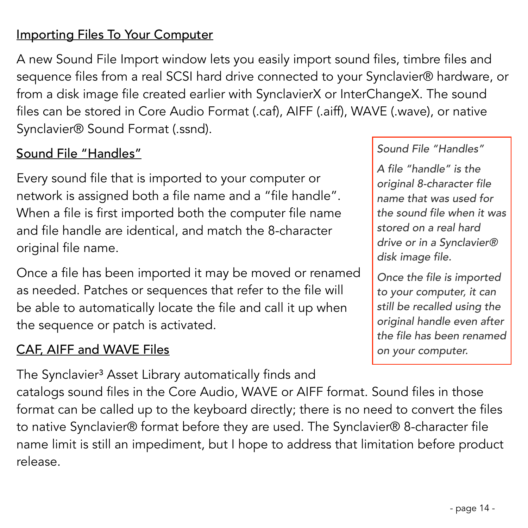## Importing Files To Your Computer

A new Sound File Import window lets you easily import sound files, timbre files and sequence files from a real SCSI hard drive connected to your Synclavier® hardware, or from a disk image file created earlier with SynclavierX or InterChangeX. The sound files can be stored in Core Audio Format (.caf), AIFF (.aiff), WAVE (.wave), or native Synclavier® Sound Format (.ssnd).

## Sound File "Handles"

Every sound file that is imported to your computer or network is assigned both a file name and a "file handle". When a file is first imported both the computer file name and file handle are identical, and match the 8-character original file name.

Once a file has been imported it may be moved or renamed as needed. Patches or sequences that refer to the file will be able to automatically locate the file and call it up when the sequence or patch is activated.

## CAF, AIFF and WAVE Files

The Synclavier<sup>3</sup> Asset Library automatically finds and

catalogs sound files in the Core Audio, WAVE or AIFF format. Sound files in those format can be called up to the keyboard directly; there is no need to convert the files to native Synclavier® format before they are used. The Synclavier® 8-character file name limit is still an impediment, but I hope to address that limitation before product release.

#### *Sound File "Handles"*

*A file "handle" is the original 8-character file name that was used for the sound file when it was stored on a real hard drive or in a Synclavier® disk image file.* 

*Once the file is imported to your computer, it can still be recalled using the original handle even after the file has been renamed on your computer.*